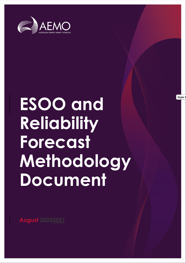

# **ESOO and Reliability Forecast Methodology Document**

**August 20202021**

**Style D**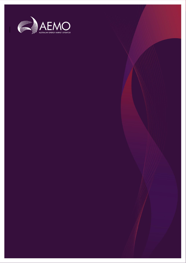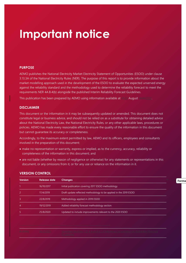## **Important notice**

#### **PURPOSE**

AEMO publishes the National Electricity Market Electricity Statement of Opportunities (ESOO) under clause 3.13.3A of the National Electricity Rules (NER). The purpose of this report is to provide information about the market modelling approach used in the development of the ESOO to evaluate the expected unserved energy against the reliability standard and the methodology used to determine the reliability forecast to meet the requirements NER 4A.B.4(b) alongside the published Interim Reliability Forecast Guidelines.

This publication has been prepared by AEMO using information available at  $2531$  August  $2020221$ .

#### **DISCLAIMER**

This document or the information in it may be subsequently updated or amended. This document does not constitute legal or business advice, and should not be relied on as a substitute for obtaining detailed advice about the National Electricity Law, the National Electricity Rules, or any other applicable laws, procedures or policies. AEMO has made every reasonable effort to ensure the quality of the information in this document but cannot guarantee its accuracy or completeness.

Accordingly, to the maximum extent permitted by law, AEMO and its officers, employees and consultants involved in the preparation of this document:

- make no representation or warranty, express or implied, as to the currency, accuracy, reliability or completeness of the information in this document; and
- are not liable (whether by reason of negligence or otherwise) for any statements or representations in this document, or any omissions from it, or for any use or reliance on the information in it.

| Release date | <b>Changes</b>                                                    |
|--------------|-------------------------------------------------------------------|
| 16/10/2017   | Initial publication covering 2017 ESOO methodology                |
| 17/4/2019    | Draft update reflected methodology to be applied in the 2019 ESOO |
| 22/8/2019    | Methodology applied in 2019 ESOO                                  |
| 19/12/2019   | Added reliability forecast methodology section                    |
| 25/8/2020    | Updated to include improvements relevant to the 2020 ESOO         |
|              |                                                                   |

#### **VERSION CONTROL**

**Forma**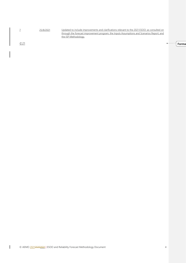

 $\odot$  21 Australian Energy Market Operator Limited. The material in this publication may be used in accordance may be used in accordance material in accordance may be used in accordance may be used in accordance may be us

**Forma** 

 $\blacktriangleleft$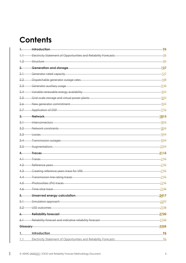## **Contents**

|            | Introduction                                                     | 95             |
|------------|------------------------------------------------------------------|----------------|
| $+ +$      | Electricity Statement of Opportunities and Reliability Forecasts | $-95$          |
| $+2$       | -Structure                                                       | $-95$          |
| 2.         | <b>Generation and storage</b>                                    | <u>-127</u>    |
| $2 +$      | Generator rated capacity                                         | $-127$         |
| 2.2        | Dispatchable generator outage rates                              | $-149$         |
| $2.3 -$    | Generator auxiliary usage                                        | $-1540$        |
| 2.4        | Variable renewable energy availability                           | - <u>16</u> 11 |
| 2.5        | Grid-scale storage and virtual power plants                      | - <u>16</u> 11 |
| <u>2.6</u> | New generator commitment                                         | <u>-16</u> 11  |
| 2.7        | Application of DSP                                               | - <u>17</u> 12 |
| 3.         | Network                                                          | 1813           |
| $3+$       | Interconnectors                                                  | <u>-1843</u>   |
| 3.2        | Network constraints                                              | - <u>1843</u>  |
| $3.3 -$    | -Losses                                                          | - <u>19</u> 14 |
| $-3.4$     | <b>Transmission outages</b>                                      | - <u>19</u> 14 |
| $3.5 -$    | Augmentations                                                    | <u> 2014</u>   |
| 4.         | <b>Traces</b>                                                    | 2115           |
| $4+$       | Traces                                                           | $-2115$        |
| 4.2        | Reference years                                                  | $-2145$        |
| 4.3        | Creating reference years trace for VRE                           | $-2145$        |
| 4.4        | Transmission line rating traces                                  | $-2115$        |
| $4.5 -$    | Photovoltaic (PV) traces                                         | $-2215$        |
| 4.6        | Time-slice trace                                                 | $-2316$        |
| 5.         | Unserved energy calculation                                      | 2417           |
| $5 +$      | Simulation approach                                              | $-2417$        |
| 5.2        | USE outcomes                                                     | $-2518$        |
|            | <b>Reliability forecast</b>                                      | 2720           |
| $6+$       | -Reliability forecast and indicative reliability forecast        | -2720          |
| Glossary   |                                                                  | 3325           |
|            |                                                                  |                |
| 1.         | Introduction                                                     | 95             |
| 1.1        | Electricity Statement of Opportunities and Reliability Forecasts | 95             |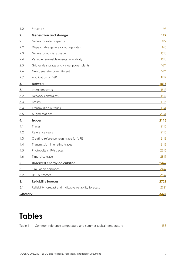| 1.2             | Structure                                                                                                                                         | 9 <sub>5</sub> |
|-----------------|---------------------------------------------------------------------------------------------------------------------------------------------------|----------------|
| 2.              | <b>Generation and storage</b>                                                                                                                     | 127            |
| 2.1             | Generator rated capacity<br><u> 1980 - Andrea Aonaichte ann an t-Aonaichte ann an t-Aonaichte ann an t-Aonaichte ann an t-Aonaichte ann an t-</u> | 127            |
| 2.2             | Dispatchable generator outage rates                                                                                                               | 148            |
| 2.3             | Generator auxiliary usage<br><u> 1980 - Johann Stoff, fransk politik (d. 1980)</u>                                                                | 1540           |
| 2.4             | Variable renewable energy availability                                                                                                            | 1610           |
| 2.5             | Grid-scale storage and virtual power plants                                                                                                       | 1644           |
| 2.6             | New generator commitment                                                                                                                          | 1644           |
| 2.7             | <b>Application of DSP</b>                                                                                                                         | <u> 1712 </u>  |
| 3.              | <b>Network</b>                                                                                                                                    | 1813           |
| 3.1             | Interconnectors                                                                                                                                   | 1843           |
| 3.2             | Network constraints                                                                                                                               | 1843           |
| 3.3             | Losses                                                                                                                                            | 1914           |
| 3.4             | Transmission outages                                                                                                                              | 1914           |
| 3.5             | <b>Augmentations</b>                                                                                                                              | 2014           |
| 4.              | <b>Traces</b>                                                                                                                                     | 2115           |
| 4.1             | Traces                                                                                                                                            | 2145           |
| 4.2             | Reference years                                                                                                                                   | 2145           |
| 4.3             | Creating reference years trace for VRE                                                                                                            | 2145           |
| 4.4             | Transmission line rating traces                                                                                                                   | 2145           |
| 4.5             | Photovoltaic (PV) traces<br><u> 1989 - Andrea Station, Amerikaansk politiker († 1908)</u>                                                         | 2216           |
| 4.6             | Time-slice trace                                                                                                                                  | 2317           |
| 5.              | Unserved energy calculation                                                                                                                       | 2418           |
| 5.1             | Simulation approach                                                                                                                               | 2418           |
| 5.2             | USE outcomes                                                                                                                                      | 2519           |
| 6.              | <b>Reliability forecast</b>                                                                                                                       | 2721           |
| 6.1             | Reliability forecast and indicative reliability forecast                                                                                          | 2721           |
| <b>Glossary</b> |                                                                                                                                                   | 3327           |

## **Tables**

 $\overline{\phantom{a}}$ 

Table 1 [Common reference temperature and summer typical temperature](#page-12-0) 138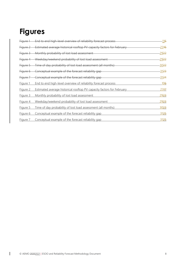## **Figures**

|          | Figure 1 End to end high-level overview of reliability forecast process | 116           |
|----------|-------------------------------------------------------------------------|---------------|
| Figure 2 | Estimated average historical rooftop PV capacity factors for February   | 2316          |
| Figure 3 | -Monthly probability of lost load assessment                            | 2922          |
| Figure 4 | Weekday/weekend probability of lost load assessment                     | 2922          |
|          | Figure 5 Time of day probability of lost load assessment (all months)   | 3022          |
|          | Figure 6 Conceptual example of the forecast reliability gap             | <u>-3123 </u> |
| Figure 7 | Conceptual example of the forecast reliability gap-                     | 3124          |
| Figure 1 | End to end high-level overview of reliability forecast process          | 106           |
| Figure 2 | Estimated average historical rooftop PV capacity factors for February   | 2347          |
| Figure 3 | Monthly probability of lost load assessment                             | 2923          |
| Figure 4 | Weekday/weekend probability of lost load assessment                     | 2923          |
| Figure 5 | Time of day probability of lost load assessment (all months)            | 3023          |
| Figure 6 | Conceptual example of the forecast reliability gap                      | 3125          |
| Figure 7 | Conceptual example of the forecast reliability gap                      | 3125          |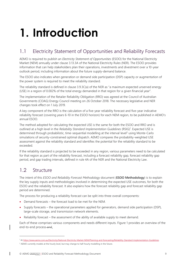## <span id="page-8-0"></span>**1. Introduction**

## <span id="page-8-1"></span>1.1 Electricity Statement of Opportunities and Reliability Forecasts

AEMO is required to publish an *Electricity Statement of Opportunities* (ESOO) for the National Electricity Market (NEM) annually under clause 3.13.3A of the National Electricity Rules (NER). The ESOO provides information that can help stakeholders plan their operations, investments and divestment over a 10-year outlook period, including information about the future supply-demand balance.

The ESOO also indicates when generation or demand side participation (DSP) capacity or augmentation of the power system is required to meet the reliability standard.

The reliability standard is defined in clause 3.9.3C(a) of the NER as "a maximum expected unserved energy (USE) in a region of 0.002% of the total energy demanded in that region for a given financial year".

The implementation of the Retailer Reliability Obligation (RRO) was agreed at the Council of Australian Governments (COAG) Energy Council meeting on 26 October 2018. The necessary legislative and NER changes took effect on 1 July 2019.

A key component of the RRO is the calculation of a five-year reliability forecast and five-year indicative reliability forecast (covering years 6-10 in the ESOO horizon) for each NEM region, to be published in AEMO's annual ESOO.

The method adopted for calculating the expected USE is the same for both the ESOO and RRO and is outlined at a high level in the *Reliability Standard Implementation Guidelines* (RSIG)<sup>1</sup> . Expected USE is determined through probabilistic, time-sequential modelling at the interval level<sup>2</sup> using Monte-Carlo simulations of security-constrained optimal dispatch. AEMO compares the probability-weighted USE assessment against the reliability standard and identifies the potential for the reliability standard to be exceeded.

If the reliability standard is projected to be exceeded in any region, various parameters need to be calculated for that region as part of the reliability forecast, including a forecast reliability gap, forecast reliability gap period, and gap trading intervals, defined in rule 4A of the NER and the National Electricity Law.

## <span id="page-8-2"></span>1.2 Structure

The intent of this *ESOO and Reliability Forecast Methodology* document (**ESOO Methodology**) is to explain the key supply inputs and methodologies involved in determining the expected USE outcomes, for both the ESOO and the reliability forecast. It also explains how the forecast reliability gap and forecast reliability gap period are determined.

The process for producing a reliability forecast can be split into three overall components:

- Demand forecasts the forecast load to be met for the NEM.
- Supply forecasts the operational parameters applied for generators, demand side participation (DSP), large-scale storage, and transmission network elements.
- Reliability forecast the assessment of the ability of available supply to meet demand.

Each of these comprises various components and needs different inputs. [Figure 1](#page-9-0) provides an overview of the end-to-end process-and.

<sup>1</sup> At [https://www.aemo.com.au/Electricity/National-Electricity-Market-NEM/Planning-and-forecasting/Reliability-Standard-Implementation-Guidelines.](https://www.aemo.com.au/Electricity/National-Electricity-Market-NEM/Planning-and-forecasting/Reliability-Standard-Implementation-Guidelines)

<sup>&</sup>lt;sup>2</sup> AEMO currently models at the hourly level, but may change to half-hourly modelling in the future.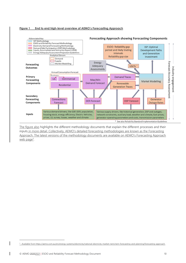#### <span id="page-9-0"></span>**Figure 1 End to end high-level overview of AEMO's Forecasting Approach**



The figure also highlights the different methodology documents that explain the different processes and their inputs in more detail. Collectively, AEMO's detailed forecasting methodologies are known as the Forecasting Approach. The latest versions of the methodology documents are available on AEMO's Forecasting Approach web page<sup>3</sup>.

<sup>3</sup> Available from https://aemo.com.au/en/energy-systems/electricity/national-electricity-market-nem/nem-forecasting-and-planning/forecasting-approach.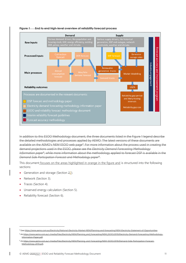

#### **Figure 1 End to end high-level overview of reliability forecast process**

In addition to this ESOO Methodology document, the three documents listed in the [Figure 1](#page-9-0) legend describe the detailed methodologies and processes applied by AEMO. The latest versions of these documents are available on the AEMO's NEM ESOO web page<sup>4</sup>. For more information about the process used in creating the demand projections used in the ESOO, please see the *Electricity Demand Forecasting Methodology*  Information paper<sup>5</sup>, while more information about the methodology applied to forecast DSP is available in the *Demand Side Participation Forecast and Methodology paper*<sup>6</sup> .

This document focuses on the areas highlighted in orange in the figure and is structured into the following sections:

- Generation and storage (Section [22\)](#page-11-0).
- Network (Section [3\)](#page-17-0).
- Traces (Sectio[n 4\)](#page-20-0).
- Unserved energy calculation (Section [5\)](#page-23-0).
- Reliability forecast (Section [6\)](#page-26-0).

<sup>4</sup> See https://www.aemo.com.au/Electricity/National-Electricity-Market-NEM/Planning-and-forecasting/NEM-Electricity-Statement-of-Opportunities.

eity/NEM/Planning\_and\_Forecasting/NEM\_ESOO/2019/Electricity-Demand-Forecasting-Methodologyation-Paper.pdf

<sup>6</sup> At https://www.aemo.com.au/-/media/Files/Electricity/NEM/Planning\_and\_Forecasting/NEM\_ESOO/2019/Demand-Side-Participation-Forecast-Methodology-2019.pdf.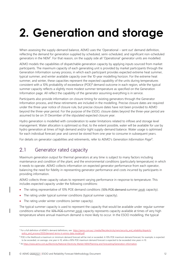## <span id="page-11-0"></span>**2. Generation and storage**

When assessing the supply-demand balance, AEMO uses the 'Operational – sent out' demand definition, reflecting the demand for generation supplied by scheduled, semi-scheduled, and significant non-scheduled generators in the NEM<sup>7</sup>. For that reason, on the supply side all 'Operational' generator units are modelled.

AEMO models the capabilities of dispatchable generation capacity by applying inputs sourced from market participants. The maximum capacity of each generating unit is provided by market participants through the Generation Information survey process, in which each participant provides expected extreme heat summer, typical summer, and winter available capacity over the 10-year modelling horizon. For the extreme heat summer, and winter, these capacities represent the expected capability of the units during temperatures consistent with a 10% probability of exceedance (POE)<sup>8</sup> demand outcome in each region, while the typical summer capacity reflects a slightly more modest summer temperature as specified on the Generation Information page. All reflect the capability of the generator assuming everything is in service.

Participants also provide information on closure timing for existing generators through the Generator Information process, and these retirements are included in the modelling. Precise closure dates are required under the three-year notice of closure rule, but precise closure dates have not been provided to AEMO beyond the three-year period. For the purpose of the ESOO, closure dates beyond the three-year period are assumed to be on 31 December of the stipulated expected closure year.

Hydro generation is modelled with consideration to water limitations related to inflows and storage level management. Water allocation is optimised so that, to the extent possible, water will be available for use by hydro generation at times of high demand and/or tight supply-demand balance. Water usage is optimised for each individual forecast year and cannot be stored from one year to consume in subsequent years.

<span id="page-11-1"></span>For details on generator capabilities and retirements, refer to AEMO's Generation Information Page<sup>9</sup>.

### 2.1 Generator rated capacity

Maximum generation output for thermal generators at any time is subject to many factors including maintenance and condition of the plant, and the environmental conditions (particularly temperature) in which it needs to operate. AEMO collects information on expected generator performance from each operator, balancing the need for fidelity in representing generator performance and costs incurred by participants in providing information.

AEMO collects three capacity values to represent varying performance in response to temperature. This includes expected capacity under the following conditions:

- The rating representative of 10% POE demand conditions (10% POE demand-summer peak capacity).
- The rating under typical summer conditions (typical summer capacity).
- The rating under winter conditions (winter capacity).

The typical summer capacity is used to represent the capacity that would be available under regular summer conditions whereas the 10% POE-summer peak capacity represents capacity available at times of very high temperature where annual maximum demand is more likely to occur. In the ESOO modelling, the typical

<sup>&</sup>lt;sup>7</sup> For a full definition of AEMO's demand definitions, see [https://aemo.com.au/-/media/files/electricity/nem/security\\_and\\_reliability/dispatch/](https://aemo.com.au/-/media/files/electricity/nem/security_and_reliability/dispatch/policy_and_process/2020/demand-terms-in-emms-data-model.pdf) [policy\\_and\\_process/2020/demand-terms-in-emms-data-model.pdf.](https://aemo.com.au/-/media/files/electricity/nem/security_and_reliability/dispatch/policy_and_process/2020/demand-terms-in-emms-data-model.pdf)

<sup>&</sup>lt;sup>8</sup> POE is the likelihood a maximum or minimum demand forecast will be met or exceeded. A 10% POE maximum demand forecast, for example, is expected to be exceeded, on average, one year in 10, while a 90% POE maximum demand forecast is expected to be exceeded nine years in 10.

<sup>9</sup> A[t https://www.aemo.com.au/Electricity/National-Electricity-Market-NEM/Planning-and-forecasting/Generation-information.](https://www.aemo.com.au/Electricity/National-Electricity-Market-NEM/Planning-and-forecasting/Generation-information)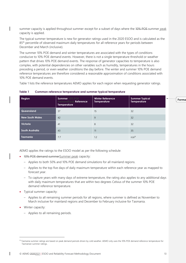summer capacity is applied throughout summer except for a subset of days where the 40% POE-summer peak capacity is applied.

The typical summer temperature is new for generator ratings used in the 2020 ESOO and is calculated as the 85<sup>th</sup> percentile of observed maximum daily temperatures for all reference years for periods between December and March (inclusive).

The summer 10% POE demand and winter temperatures are associated with the types of conditions conducive to 10% POE demand events. However, there is not a single temperature threshold or weather pattern that drives 10% POE demand events. The response of generator capacities to temperature is also complex, with potential dependencies on other variables such as humidity, temperatures in the hours preceding a period, or even weather conditions the day before. The winter and summer 10% POE demand reference temperatures are therefore considered a reasonable approximation of conditions associated with 10% POE demand events.

[Table 1](#page-12-0) lists the reference temperatures AEMO applies for each region when requesting generator ratings.

| Region            | <b>Summer 10% POE</b><br><b>DemandPeak Reference</b><br><b>Temperature</b> | <b>Winter Reference</b><br><b>Temperature</b> | <b>Summer Typical</b><br>Temperature | $\blacktriangleleft$<br><b>Forma</b> |
|-------------------|----------------------------------------------------------------------------|-----------------------------------------------|--------------------------------------|--------------------------------------|
| <b>Queensland</b> | 37                                                                         | 15                                            | 32                                   |                                      |
| New South Wales   | 42                                                                         | 9                                             | 32                                   |                                      |
| Victoria          | 41                                                                         | 8                                             | 32                                   |                                      |
| South Australia   | 43                                                                         | 11                                            | 35                                   |                                      |
| Tasmania          | 7.7                                                                        | 1.2                                           | $n/a^{10}$                           |                                      |

<span id="page-12-0"></span>**Table 1 Common reference temperature and summer typical temperature**

AEMO applies the ratings to the ESOO model as per the following schedule:

- 10% POE demand summerSummer peak capacity:
	- Applies to both 50% and 10% POE demand simulations for all mainland regions.
	- Applies to the top five days of daily maximum temperature within each reference year as mapped to forecast year.
	- To capture years with many days of extreme temperature, the rating also applies to any additional days with daily maximum temperatures that are within two degrees Celsius of the summer 10% POE demand reference temperature.
- Typical summer capacity:
	- Applies to all remaining summer periods for all regions, where summer is defined as November to March inclusive for mainland regions and December to February inclusive for Tasmania.
- Winter capacity:
	- Applies to all remaining periods.

<sup>10</sup> Tasmania summer ratings are based on peak demand periods driven by cold weather. AEMO only uses the 10% POE demand reference temperature for Tasmanian summer ratings.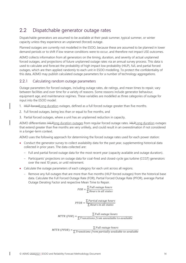## <span id="page-13-0"></span>2.2 Dispatchable generator outage rates

Dispatchable generators are assumed to be available at their peak summer, typical summer, or winter capacity unless they experience an unplanned (forced) outage.

Planned outages are currently not modelled in the ESOO, because these are assumed to be planned in lower demand periods or to shift if low reserve conditions were to occur, and therefore not impact USE outcomes.

AEMO collects information from all generators on the timing, duration, and severity of actual unplanned forced outages, and projections of future unplanned outage rates via an annual survey process. This data is used to calculate and forecast the probability of high impact low probability (HILP), full, and partial forced outages, which are then applied randomly to each unit in ESOO modelling. To protect the confidentiality of this data, AEMO may publish calculated outage parameters for a number of technology aggregations.

#### <span id="page-13-1"></span>2.2.1 Calculating random outage parameters

Outage parameters for forced outages, including outage rates, de-ratings, and mean times to repair, vary between facilities and over time for a variety of reasons. Some reasons include generator behaviour, equipment age, and maintenance regimes. These variables are modelled as three categories of outage for input into the ESOO model:

- 1. HILP forcedLong duration outages, defined as a full forced outage greater than five months.
- 2. Full forced outages, being less than or equal to five months, and
- 3. Partial forced outages, where a unit has an unplanned reduction in capacity.

AEMO differentiates HILPlong duration outages from regular forced outage rates. HILPLong duration outages that extend greater than five months are very unlikely, and could result in an overestimation if not considered in a longer-term context.

AEMO uses the following approach for determining the forced outage rates used for each power station:

- Conduct the generator survey to collect availability data for the past year, supplementing historical data collected in prior years. The data collected are:
	- Full and partial forced outage data for the most recent year (capacity available and outage duration).
	- Participants' projections on outage data for coal-fired and closed-cycle gas turbine (CCGT) generators over the next 10 years, or until retirement.
- Calculate the outage parameters of each category for each unit across all regions.
	- Remove any full outages that are more than five months (HILP forced outages) from the historical base data. Calculate the Full Forced Outage Rate (FOR), Partial Forced Outage Rate (PFOR), average Partial Outage Derating Factor and respective Mean Time to Repair.

 = ∑ ℎ ∑ Hours in all states

 $PFOR = \frac{\sum Partial\,outage\,hours}{\sum H_{xy} \sum m\,all\,static}$ ∑ Hours in all states

 $MTR(FOR) = \frac{\sum Full\,outage\,hours}{\sum T_{\text{new}}(x,y,z)}$  $\Sigma$ Transitions from unvailable to available

 $MTTR(PFOR) = \frac{\sum Full\,outage\,hours}{\sum Full\,outage\,hours}$  $\Sigma$ Transitions from partially available to available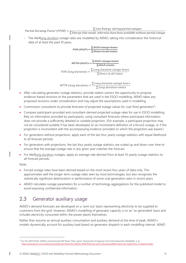Partial Derating Factor (PFOR) =  $\frac{\sum$  Lost Energy during partial outages

- $\Sigma$  Energy that would otherwise have been available without partial outage
- The HILPlong duration outage rates are modelled by AEMO, taking into consideration the historical data of at least the past 10 years.

 $FOR(HILP) = \frac{\sum HILP\ outage\ hours}{\sum H1 \times P}$ ∑ Hours in all states

 $MTTR(HILP) = \frac{\sum HILP\ outage\ hours}{\sum HILP\ countage}$ ∑HILP events FOR (long duration)  $=$   $\frac{\sum Long \ duration \ outage \ hours}{\sum U$ ∑ Hours in all states

MTTR (long duration)  $=\frac{\sum Long \ duration$  outage hours ∑ Long duration events

- After calculating generator outage statistics, provide station owners the opportunity to propose evidence-based revisions to the parameters that are used in the ESOO modelling. AEMO takes any proposed revisions under consideration and may adjust the assumptions used in modelling.
- Commission consultants to provide forecasts of projected outage values for coal-fired generators<sup>11</sup>.
- Compare participant-provided and consultant-derived projected outage rates for use in ESOO modelling. Rely on information provided by participants, using consultant forecasts where participant information does not provide a sufficiently detailed or suitable projection. (For example, a participant projection may not be considered suitable if has been developed on an inconsistent definition of a forced outage, or if the projection is inconsistent with the accompanying evidence provided on which the projection was based.)
- For generators without projections, apply each of the last four yearly outage statistics with equal likelihood to all forecast periods.
- For generators with projections, the last four yearly outage statistics are scaled up and down over time to ensure that the average outage rate in any given year matches the forecast.
- For HILPlong duration outages, apply an average rate derived from at least 10-yearly outage statistics to all forecast periods.

Note:

- Forced outage rates have been derived based on the most recent four years of data only. This approximates well the longer-term outage rates seen by most technologies, but also recognises the statistically significant deterioration in performance of some coal generators seen in recent years.
- AEMO calculates outage parameters for a number of technology aggregations for the published model to avoid exposing confidential information.

## <span id="page-14-0"></span>2.3 Generator auxiliary usage

AEMO's demand forecasts are developed on a 'sent-out' basis representing electricity to be supplied to customers from the grid. However, AEMO's modelling of generator capacity is on an 'as-generated' basis and includes electricity consumed within the power plants themselves.

Rather than assume an annual auxiliary consumption and auxiliary demand at the time of peak, AEMO's models dynamically account for auxiliary load based on generator dispatch in each modelling interval. AEMO

<sup>11</sup> For the 2020 ESOO, AEMO commissioned AEP Elical. Their report 'Assessment of Ageing Coal-Fired Generation Reliability' is at [http://www.aemo.com.au/Electricity/National-Electricity-Market-NEM/Planning-and-forecasting/NEM-Electricity-Statement-of-Opportunities.](http://www.aemo.com.au/Electricity/National-Electricity-Market-NEM/Planning-and-forecasting/NEM-Electricity-Statement-of-Opportunities)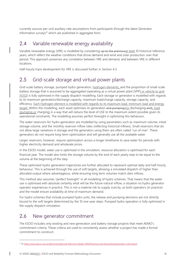currently sources per-unit auxiliary rate assumptions from participants through the latest Generator Information surveys<sup>12</sup> which are published in aggregate form.

#### <span id="page-15-0"></span>2.4 Variable renewable energy availability

Variable renewable energy (VRE) is modelled by considering up to the previous at least 10 historical reference years, which reflect the weather conditions that drove demand and wind and solar production over that period. This approach preserves any correlation between VRE and demand, and between VRE in different locations.

<span id="page-15-1"></span>Half-hourly trace development for VRE is discussed further in Section [4.3.](#page-20-3)

## 2.5 Grid-scale storage and virtual power plants

Grid-scale battery storage, pumped hydro generation, hydrogen elements, and the proportion of small-scale battery storage that is assumed to be aggregated (operating as a virtual power plant [VPP] or vehicle to grid [V2G]) is fully optimised in the supply dispatch modelling. Each storage or generator is modelled with regards to its maximum generation/discharge capacity, maximum load/charge capacity, storage capacity, and efficiency. Each hydrogen element is modelled with regards to its maximum load, minimum load and energy target. Within the modelling, each asset optimises its generation and pumping/(or discharging and), load (pumping or charging) in a way that will reduce the level of USE to the maximum extent possible given its operational constraints. The modelling assumes perfect foresight in optimising this behaviour.

The water reservoirs for hydro generation are modelled by using parameters such as maximum volume, initial storage volume, and the monthly reservoir inflow rates (reflecting historical inflows). Small reservoirs that do not allow large variations in storage and the generators using them are often called 'run of river'. These generators do not require long-term optimisation and will generally use all the available water.

Larger reservoirs, however, require optimisation across a longer timeframe to save water for periods with higher electricity demand and wholesale prices.

In the ESOO model, water use is optimised in the simulation, resource allocation is optimised for each financial year. The model also limits the storage volume by the end of each yearly step to be equal to the volume at the beginning of the step.

These optimised hydro generation trajectories are further allocated to represent optimal daily and half-hourly behaviour. This is achieved through the use of soft targets, allowing a simulated dispatch of higher than allocated output where advantageous, while ensuring long term volumes match dam inflows.

This method also assumes "perfect foresight" in all modelling of hydro schemes. That means that the water use is optimised with absolute certainty what will be the future natural inflow, a situation no hydro generator operator experiences in practice. This is not a material risk to supply scarcity, as both operators (in practice) and the model ensure availability at time of maximum demand.

For hydro schemes that include pumped hydro units, the release and pumping decisions are not directly bound to the soft targets determined by the 10 one-year steps. Pumped hydro operation is fully optimised in the supply dispatch simulation.

### <span id="page-15-2"></span>2.6 New generator commitment

The ESOO includes only existing and new generation and battery storage projects that meet AEMO's commitment criteria. These criteria are used to consistently assess whether a project has made a formal commitment to construct.

<sup>12</sup> A[t https://www.aemo.com.au/Electricity/National-Electricity-Market-NEM/Planning-and-forecasting/Generation-information.](https://www.aemo.com.au/Electricity/National-Electricity-Market-NEM/Planning-and-forecasting/Generation-information)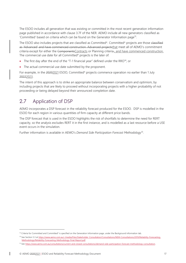The ESOO includes all generation that was existing or committed in the most recent generation information page published in accordance with clause 3.7F of the NER. AEMO include all new generators classified as 'Committed' based on criteria which can be found on the Generator Information page<sup>13</sup>.

The ESOO also includes projects that are classified as Committed\*. Committed\* projects are those elassified as 'Advanced' and have commenced construction. Advanced projectsthat meet all of AEMO's commitment criteria except for either the Components Contracts or Planning criteria., and have commenced construction. The commercial use date for all Committed\* projects is the later of:

- The first day after the end of the "T-1 financial year" defined under the RRO<sup>14</sup>, or
- The actual commercial use date submitted by the proponent.

For example, in the 20202021 ESOO, Committed\* projects commence operation no earlier than 1 July 20222023.

The intent of this approach is to strike an appropriate balance between conservatism and optimism, by including projects that are likely to proceed without incorporating projects with a higher probability of not proceeding or being delayed beyond their announced completion date.

### <span id="page-16-0"></span>2.7 Application of DSP

AEMO incorporates a DSP forecast in the reliability forecast produced for the ESOO. DSP is modelled in the ESOO for each region in various quantities of firm capacity at different price bands.

The DSP forecast that is used in the ESOO highlights the risk of shortfalls to determine the need for RERT capacity, so the analysis excludes RERT it in the first instance, and is modelled as a last resource before a USE event occurs in the simulation.

Further information is available in AEMO's *Demand Side Participation Forecast Methodology*<sup>15</sup> .

<sup>&</sup>lt;sup>13</sup> Criteria for Committed and Committed\* is specified on the Generation Information page, under the Background information tab.

<sup>14</sup> See Section 5.3 a[t https://www.aemo.com.au/-/media/Files/Stakeholder\\_Consultation/Consultations/NEM-Consultations/2019/Reliability-Forecasting-](https://www.aemo.com.au/-/media/Files/Stakeholder_Consultation/Consultations/NEM-Consultations/2019/Reliability-Forecasting-Methodology/Reliability-Forecasting-Methodology-Final-Report.pdf)[Methodology/Reliability-Forecasting-Methodology-Final-Report.pdf.](https://www.aemo.com.au/-/media/Files/Stakeholder_Consultation/Consultations/NEM-Consultations/2019/Reliability-Forecasting-Methodology/Reliability-Forecasting-Methodology-Final-Report.pdf)

<sup>15</sup> Se[e https://www.aemo.com.au/consultations/current-and-closed-consultations/demand-side-participation-forecast-methodology-consultation.](https://www.aemo.com.au/consultations/current-and-closed-consultations/demand-side-participation-forecast-methodology-consultation)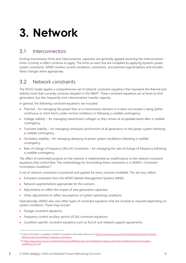## <span id="page-17-0"></span>**3. Network**

#### <span id="page-17-1"></span>3.1 Interconnectors

Existing transmission limits and interconnector capacities are generally applied assuming the interconnector limits currently in effect continue to apply. The limits on each line are modelled by applying dynamic power system constraints. AEMO reviews current conditions, constraints, and planned augmentations and includes these changes when appropriate.

### <span id="page-17-2"></span>3.2 Network constraints

The ESOO model applies a comprehensive set of network constraint equations that represent the thermal and stability limits that currently constrain dispatch in the NEM<sup>16</sup>. These constraint equations act at times to limit generation, but also frequently limit interconnector transfer capacity.

In general, the following constraint equations are included:

- Thermal for managing the power flow on a transmission element so it does not exceed a rating (either continuous or short-term) under normal conditions or following a credible contingency.
- Voltage stability for managing transmission voltages so they remain at acceptable levels after a credible contingency.
- Transient stability for managing continued synchronism of all generators on the power system following a credible contingency.
- Oscillatory stability for managing damping of power system oscillations following a credible contingency.
- Rate of change of frequency (RoCoF) constraints for managing the rate of change of frequency following a credible contingency.

The effect of committed projects on the network is implemented as modifications to the network constraint equations that control flow. The methodology for formulating these constraints is in AEMO's *Constraint Formulation Guidelines*<sup>17</sup> .

A set of network constraints is produced and applied for every scenario modelled. This set may reflect:

- Extracted constraints from the AEMO Market Management Systems (MMS).
- Network augmentations appropriate for the scenario.
- Adjustments to reflect the impact of new generation capacities.
- Other adjustments to reflect assumptions of system operating conditions.

Operationally, AEMO also uses other types of constraint equations that are invoked as required depending on system conditions. These may include:

- Outage constraint equations.
- Frequency control ancillary service (FCAS) constraint equations.
- Condition-specific constraint equations such as RoCoF and network support agreements.

<sup>&</sup>lt;sup>16</sup> Further information is available at AEMO's Congestion Information Resource at [https://www.aemo.com.au/Electricity/National-Electricity-Market-](https://www.aemo.com.au/Electricity/National-Electricity-Market-NEM/Security-and-reliability/Congestion-information)[NEM/Security-and-reliability/Congestion-information.](https://www.aemo.com.au/Electricity/National-Electricity-Market-NEM/Security-and-reliability/Congestion-information)

<sup>17</sup> At [https://www.aemo.com.au/-/media/Files/Electricity/NEM/Security\\_and\\_Reliability/Congestion-Information/2016/Constraint\\_Formulation\\_](https://www.aemo.com.au/-/media/Files/Electricity/NEM/Security_and_Reliability/Congestion-Information/2016/Constraint_Formulation_Guidelines_v10_1.pdf) [Guidelines\\_v10\\_1.pdf.](https://www.aemo.com.au/-/media/Files/Electricity/NEM/Security_and_Reliability/Congestion-Information/2016/Constraint_Formulation_Guidelines_v10_1.pdf)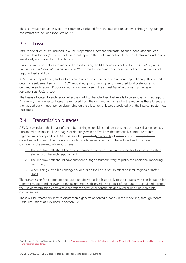These constraint equation types are commonly excluded from the market simulations, although key outage constraints are included (See Section [3.4\)](#page-18-1).

### <span id="page-18-0"></span>3.3 Losses

Intra-regional losses are included in AEMO's operational demand forecasts. As such, generator and load marginal loss factors (MLFs) are not a relevant input to the ESOO modelling, because all intra-regional losses are already accounted for in the demand.

Losses on interconnectors are modelled explicitly using the MLF equations defined in the *List of Regional Boundaries and Marginal Loss Factors report*<sup>18</sup> . For most interconnectors, these are defined as a function of regional load and flow.

AEMO uses proportioning factors to assign losses on interconnectors to regions. Operationally, this is used to determine settlement surplus. In ESOO modelling, proportioning factors are used to allocate losses to demand in each region. Proportioning factors are given in the annual *List of Regional Boundaries and Marginal Loss Factors report*.

The losses allocated to each region effectively add to the total load that needs to be supplied in that region. As a result, interconnector losses are removed from the demand inputs used in the model as these losses are then added back in each period depending on the allocation of losses associated with the interconnector flow outcomes.

### <span id="page-18-1"></span>3.4 Transmission outages

AEMO may include the impact of a number of single credible contingency events or reclassifications on key unplanned transmission line outages or deratings which affect lines that materially contribute to interregional transfer capability. AEMO assesses the probability materiality of these outages using historical dataobserved on each line to determine which outages will lines should be included and considered considering the severityfollowing criteria:

- 1. The line/flow path should be an interconnector; or connect an interconnector to stronger meshed elements of the each regional grid.
- 2. The line/flow path should have sufficient outage assumedhistory to justify the additional modelling complexity.
- 3. When a single credible contingency occurs on the line, it has an effect on inter-regional transfer limits.

The transmission forced outage rates used are derived using historically observed rates with consideration for climate change trends relevant to the failure modes observed. The impact of the outage is simulated through the use of transmission constraints that reflect operational constraints deployed during single credible contingencies.

These will be treated similarly to dispatchable generation forced outages in the modelling, through Monte Carlo simulations as explained in Section [2.2.1.](#page-13-1)

<sup>18</sup> AEMO. Loss Factors and Regional Boundaries, at [http://www.aemo.com.au/Electricity/National-Electricity-Market-NEM/Security-and-reliability/Loss-factor](http://www.aemo.com.au/Electricity/National-Electricity-Market-NEM/Security-and-reliability/Loss-factor-and-regional-boundaries)[and-regional-boundaries.](http://www.aemo.com.au/Electricity/National-Electricity-Market-NEM/Security-and-reliability/Loss-factor-and-regional-boundaries)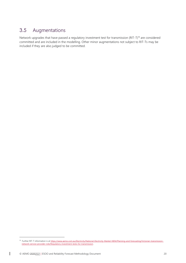## <span id="page-19-0"></span>3.5 Augmentations

Network upgrades that have passed a regulatory investment test for transmission (RIT-T)<sup>19</sup> are considered committed and are included in the modelling. Other minor augmentations not subject to RIT-Ts may be included if they are also judged to be committed.

<sup>&</sup>lt;sup>19</sup> Further RIT-T information is a[t https://www.aemo.com.au/Electricity/National-Electricity-Market-NEM/Planning-and-forecasting/Victorian-transmission](https://www.aemo.com.au/Electricity/National-Electricity-Market-NEM/Planning-and-forecasting/Victorian-transmission-network-service-provider-role/Regulatory-investment-tests-for-transmission)[network-service-provider-role/Regulatory-investment-tests-for-transmission.](https://www.aemo.com.au/Electricity/National-Electricity-Market-NEM/Planning-and-forecasting/Victorian-transmission-network-service-provider-role/Regulatory-investment-tests-for-transmission)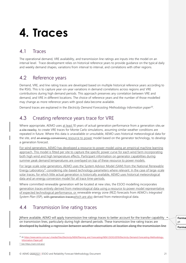## <span id="page-20-0"></span>**4. Traces**

## <span id="page-20-1"></span>4.1 Traces

The operational demand, VRE availability, and transmission line ratings are inputs into the model on an interval level. Trace development relies on historical reference years to provide guidance on the typical daily and weekly demand shapes, variations from interval to interval, and correlations with other regions.

### <span id="page-20-2"></span>4.2 Reference years

Demand, VRE, and line rating traces are developed based on multiple historical reference years according to the RSIG. This is to capture year-on-year variations in demand correlations across regions and VRE contributions during high demand periods. This approach preserves any correlation between VRE and demand, and VRE in different locations. The choice of reference years and the number of those modelled may change as more reference years with good data become available.

Demand traces are explained in the *Electricity Demand Forecasting Methodology Information paper<sup>20</sup>.* 

## <span id="page-20-3"></span>4.3 Creating reference years trace for VRE

Where appropriate, AEMO uses at least 10 years of actual generation performance from a generation site, or a site nearby, to create VRE traces for Monte Carlo simulations, assuming similar weather conditions are repeated in future. Where this data is unavailable or unsuitable, AEMO uses historical meteorological data for the site, and an energy conversiona resource to power model based on the generator technology, to develop a generation forecast.

For wind generators, AEMO has developed a resource to power model using an empirical machine learning approach. This model is fitted per site to capture the specific power curve for each wind farm incorporating both high wind and high temperature effects. Participant information on generator capabilities during summer peak demand temperatures are overlayed on top of these resource to power models.

For large-scale solar generators, AEMO uses the System Advisor Model (SAM) from the National Renewable Energy Laboratory<sup>21</sup> considering site-based technology parameters where relevant. In the case of large-scale solar traces, for which little actual generation is historically available, AEMO uses historical meteorological data and an energy conversion model for all trace time-periods.

Where committed renewable generation will be located at new sites, the ESOO modelling incorporates generation traces entirely derived from meteorological data using a resource to power model representative of expected technological performance, or renewable energy zone (REZ) forecasts from AEMO's *Integrated System Plan* (ISP), with generation traceswhich are also derived from meteorological data.

## <span id="page-20-4"></span>4.4 Transmission line rating traces

Where available, AEMO will apply transmission line ratings traces to better account for the transfer capability on transmission lines, particularly during high demand periods. These transmission line rating traces are developed by building a regression between weather observations at location along the transmission line

pt **Forma** 

**Forma** 

<sup>&</sup>lt;sup>20</sup> A[t https://www.aemo.com.au/-/media/Files/Electricity/NEM/Planning\\_and\\_Forecasting/NEM\\_ESOO/2019/Electricity-Demand-Forecasting-Methodology-](https://www.aemo.com.au/-/media/Files/Electricity/NEM/Planning_and_Forecasting/NEM_ESOO/2019/Electricity-Demand-Forecasting-Methodology-Information-Paper.pdf)[Information-Paper.pdf.](https://www.aemo.com.au/-/media/Files/Electricity/NEM/Planning_and_Forecasting/NEM_ESOO/2019/Electricity-Demand-Forecasting-Methodology-Information-Paper.pdf) 

<sup>21</sup> See https://sam.nrel.gov/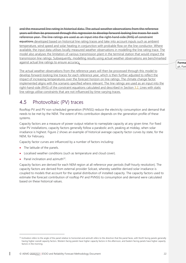and the measured line rating in historical data. The actual weather observations from the reference years will then be processed through this regression to develop forward-looking line traces for each reference year. The line ratings are used as an input into the right-hand-side (RHS) of constraint equations developed based on historical line rating traces and take into account inputs such as ambient temperature, wind speed and solar heating in conjunction with probable flow on the line conductor. Where available, the input data utilises locally measured weather observations in modelling the line rating trace. The model also analyses the limitation of various transmission plant in the terminal station that would impact the transmission line ratings. Subsequently, modelling results using actual weather observations are benchmarked against actual line ratings to ensure accuracy.

The actual weather observations from the reference years will then be processed through this model to develop forward-looking line traces for each reference year, which is then further adjusted to reflect the impact of increasing temperatures over the forecast horizon on line ratings. The climate change factor implemented aligns with the scenario specified where relevant. The line ratings are used as an input into the right-hand-side (RHS) of the constraint equations calculated and described in Section [3.2.](#page-17-2) Lines with static line ratings utilise constraints that are not influenced by time-varying traces.

### <span id="page-21-0"></span>4.5 Photovoltaic (PV) traces

Rooftop PV and PV non-scheduled generation (PVNSG) reduce the electricity consumption and demand that needs to be met by the NEM. The extent of this contribution depends on the generation profile of these systems.

Capacity factors are a measure of power output relative to nameplate capacity at any given time. For fixed solar PV installations, capacity factors generally follow a parabolic arch, peaking at midday, when solar irradiance is highest. [Figure 2](#page-22-1) shows an example of historical average capacity factor curves by state, for the NEM, for February.

Capacity factor curves are influenced by a number of factors including:

- The latitude of the panels.
- Localised weather conditions (such as temperature and cloud cover).
- Panel inclination and azimuth $^{22}$ .

Capacity factors are derived for each NEM region at all reference year periods (half-hourly resolution). The capacity factors are derived from external provider Solcast, whereby satellite-derived solar irradiance is coupled to models that account for the spatial distribution of installed capacity. The capacity factors used to estimate the forecast contribution of rooftop PV and PVNSG to consumption and demand were calculated based on these historical values.

**Forma** pt, For

<sup>&</sup>lt;sup>22</sup> Inclination refers to the angle of the panel relative to horizontal and azimuth refers to the direction that the panel faces, with North facing panels generally having higher overall capacity factors. Western facing panels have higher capacity factors in the afternoon, and Eastern facing panels have higher capacity factors in the morning.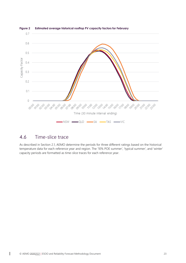

#### <span id="page-22-1"></span>**Figure 2 Estimated average historical rooftop PV capacity factors for February**

#### <span id="page-22-0"></span>4.6 Time-slice trace

As described in Section [2.1,](#page-11-1) AEMO determine the periods for three different ratings based on the historical temperature data for each reference year and region. The '10% POE summer', 'typical summer', and 'winter' capacity periods are formatted as time-slice traces for each reference year.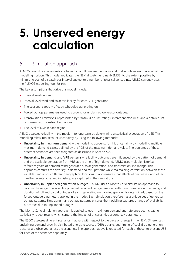## <span id="page-23-0"></span>**5. Unserved energy calculation**

### <span id="page-23-1"></span>5.1 Simulation approach

AEMO's reliability assessments are based on a full time-sequential model that simulates each interval of the modelling horizon. This model replicates the NEM dispatch engine (NEMDE) to the extent possible by minimising cost of dispatch per interval subject to a number of physical constraints. AEMO currently uses the PLEXOS modelling tool for this.

The key assumptions that drive this model include:

- Interval level demand.
- Interval level wind and solar availability for each VRE generator.
- The seasonal capacity of each scheduled generating unit.
- Forced outage parameters used to account for unplanned generator outages.
- Transmission limitations, represented by transmission line ratings, interconnector limits and a detailed set of transmission constraint equations.
- The level of DSP in each region.

AEMO assesses reliability in the medium to long term by determining a statistical expectation of USE. This modelling takes into account uncertainty by using the following methods:

- **Uncertainty in maximum demand** the modelling accounts for this uncertainty by modelling multiple maximum demand cases, defined by the POE of the maximum demand value. The outcomes of these different scenarios are then weighted as described in Section [5.2.2.](#page-24-1)
- **Uncertainty in demand and VRE patterns** reliability outcomes are influenced by the pattern of demand and the available generation from VRE at the time of high demand. AEMO uses multiple historical reference years of demand, wind generation, solar generation, and transmission line ratings. This approach captures the diversity in demand and VRE patterns while maintaining correlation between these variables and across different geographical locations. It also ensures that effects of heatwaves, and other weather events observed in history, are captured in the simulations.
- **Uncertainty in unplanned generation outages** AEMO uses a Monte Carlo simulation approach to capture the range of availability provided by scheduled generation. Within each simulation, the timing and duration of full and partial outages of each generating unit are independently determined, based on the forced outage parameters applied in the model. Each simulation therefore has a unique set of generator outage patterns. Simulating many outage patterns ensures the modelling captures a range of availability outcomes due to unplanned outages.

The Monte Carlo simulation approach is applied to each maximum demand and reference year, creating statistically robust results which capture the impact of uncertainties around key parameters.

The ESOO assesses different scenarios that vary with respect to the pace of change in the NEM. Differences in underlying demand growth, distributed energy resources (DER) uptake, and timing of coal-fired generation closures are observed across the scenarios. The approach above is repeated for each of those, to present USE for each of the scenarios separately.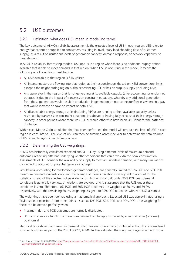## <span id="page-24-0"></span>5.2 USE outcomes

#### 5.2.1 Definition (what does USE mean in modelling terms)

The key outcome of AEMO's reliability assessment is the expected level of USE in each region. USE refers to energy that cannot be supplied to consumers, resulting in involuntary load shedding (loss of customer supply), as a result of insufficient levels of generation capacity, demand response, or network capability, to meet demand.

In AEMO's reliability forecasting models, USE occurs in a region when there is no additional supply option available that is able to meet demand in that region. When USE is occurring in the model, it means the following set of conditions must be true:

- All DSP available in that region is fully utilised.
- All interconnectors are flowing into that region at their export/import (based on NEM convention) limits, except if the neighbouring region is also experiencing USE or has no surplus supply (including DSP).
- Any generator in the region that is not generating at its available capacity (after accounting for unplanned outages) is due to the impact of transmission constraint equations, whereby any additional generation from these generators would result in a reduction in generation or interconnector flow elsewhere in a way that would increase or have no impact on total USE.
- All dispatchable energy storage units (including VPPs) are running at their available capacity unless restricted by transmission constraint equations (as above) or having fully exhausted their energy storage capacity in other periods where there was USE or would otherwise have been USE if not for the batteries' discharge.

Within each Monte Carlo simulation that has been performed, the model will produce the level of USE in each region in each interval. The level of USE can then be summed across the year to determine the total volume of USE in each region in each financial year.

#### <span id="page-24-1"></span>5.2.2 Determining the USE weightings

AEMO has historically calculated expected annual USE by using different levels of maximum demand outcomes, reflecting different underlying weather conditions that can drive extreme peak consumption. Assessments of USE consider the availability of supply to meet an uncertain demand, with many simulations conducted to account for potential generator outages.

Simulations, accounting for randomised generator outages, are generally limited to 10% POE and 50% POE maximum demand forecasts only, and the average of these simulations is weighted to account for the statistical spread of the spectrum of peak demands. As the risk of USE under 90% POE peak demand conditions is generally very low, simulations are avoided, and it is assumed that the USE under these conditions is zero. Therefore, 10% POE and 50% POE outcomes are weighted at 30.4% and 39.2% respectively, with the remaining 30.4% weighting assigned to 90% POE outcomes with zero USE assumed.

The weightings have been derived using a mathematical approach. Expected USE was approximated using a Taylor series expansion. From three points – such as 10% POE, 50% POE, and 90% POE – the weighting for these can be derived perfectly when:

- Maximum demand POE outcomes are normally distributed.
- USE outcomes as a function of maximum demand can be approximated by a second order (or lower) polynomial.

Statistical tests show that maximum demand outcomes are not normally distributed although are considered sufficiently close... As part of the 2018 ESOO<sup>23</sup>, AEMO further validated the weightings against a much more

<sup>&</sup>lt;sup>23</sup> See Appendix A3 of the 2018 ESOO at [https://www.aemo.com.au/-/media/Files/Electricity/NEM/Planning\\_and\\_Forecasting/NEM\\_ESOO/2018/2018-](https://www.aemo.com.au/-/media/Files/Electricity/NEM/Planning_and_Forecasting/NEM_ESOO/2018/2018-Electricity-Statement-of-Opportunities.pdf) [Electricity-Statement-of-Opportunities.pdf.](https://www.aemo.com.au/-/media/Files/Electricity/NEM/Planning_and_Forecasting/NEM_ESOO/2018/2018-Electricity-Statement-of-Opportunities.pdf)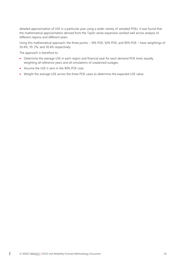detailed approximation of USE in a particular year using a wider variety of sampled POEs. It was found that the mathematical approximation derived from the Taylor series expansion worked well across analysis of different regions and different years.

Using this mathematical approach, the three points – 10% POE, 50% POE, and 90% POE – have weightings of 30.4%, 39. 2%, and 30.4% respectively.

The approach is therefore to:

- Determine the average USE in each region and financial year for each demand POE level, equally weighting all reference years and all simulations of unplanned outages.
- Assume the USE is zero in the 90% POE case.
- Weight the average USE across the three POE cases to determine the expected USE value.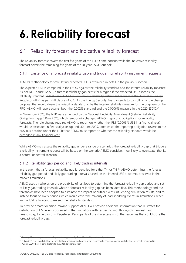## <span id="page-26-0"></span>**6.Reliability forecast**

## <span id="page-26-1"></span>6.1 Reliability forecast and indicative reliability forecast

The reliability forecast covers the first five years of the ESOO time horizon while the indicative reliability forecast covers the remaining five years of the 10-year ESOO outlook.

#### 6.1.1 Existence of a forecast reliability gap and triggering reliability instrument requests

AEMO's methodology for calculating expected USE is explained in detail in the previous section.

The expected USE is compared in the ESOO against the reliability standard and the interim reliability measure. As per NER clause 4A.A.2, a forecast reliability gap exists for a region if the expected USE exceeds the reliability standard. In that case, AEMO must submit a reliability instrument request to the Australian Energy Regulator (AER) as per NER clause 4A.C.1. As the Energy Security Board intends to consult on a rule change proposal that would deem the reliability standard to be the interim reliability measure for the purposes of the RRO, AEMO will report against both the 0.002% standard and the 0.0006% measure in the 2020 ESOO.<sup>24</sup>

In November 2020, the NER were amended by the National Electricity Amendment (Retailer Reliability Obligation trigger) Rule 2020, which temporarily changed AEMO's reporting obligations for reliability forecasts. The rule change requires AEMO to report on whether the IRM (0.0006% USE in a financial year) would be exceeded in financial years up until 30 June 2025, after which the reporting obligation reverts to the previous position under the NER: that AEMO must report on whether the reliability standard would be exceeded in any financial year.

While AEMO may assess the reliability gap under a range of scenarios, the forecast reliability gap that triggers a reliability instrument request will be based on the scenario AEMO considers most likely to eventuate, that is, a neutral or central scenario.

#### 6.1.2 Reliability gap period and likely trading intervals

In the event that a forecast reliability gap is identified for either  $T$ -1 or  $T$ -3<sup>25</sup>, AEMO determines the forecast reliability gap period and likely gap trading intervals based on the interval USE outcomes observed in the market simulations.

AEMO uses thresholds on the probability of lost load to determine the forecast reliability gap period and set of likely gap trading intervals where a forecast reliability gap has been identified. This methodology and the thresholds have been adopted to eliminate the impact of outlier events influencing simulation results, and to instead focus on likely periods which would cover the majority of load shedding events in simulations, when annual USE is forecast to exceed the reliability standard.

To provide greater decision-making support, AEMO will provide additional information that illustrates the distribution of USE events observed in the simulations with respect to month, day-of-the-week, and time-of-day, to help inform Registered Participants of the characteristics of the resources that could close the forecast reliability gap.

<sup>24</sup> See http://www.coagenergycouncil.gov.au/energy-security-board/reliability-and-security-measures.

<sup>&</sup>lt;sup>25</sup> T-3 and T-1 refer to reliability assessments three years out and one year out respectively. For example, for a reliability assessment conducted in August 2020, the T-1 period refers to the 2021-22 financial year.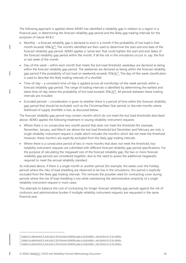The following approach is applied where AEMO has identified a reliability gap in relation to a region in a financial year, in determining the forecast reliability gap period and the likely gap trading intervals for the purposes of clause 4A.B.2:

- Monthly a forecast reliability gap is declared to exist in a month if the probability of lost load in that month exceeds 10%- $\frac{1}{26}$ . The months identified are then used to determine the start and end date of the forecast reliability gap period. AEMO applies a 'sense test' that could tighten the start and end dates of the forecast reliability gap period within the month, if all the risk in the simulations occurs in, say, the first or last week of the month.
- Day-of-the-week within each month that meets the lost load threshold, weekdays are declared as being within the forecast reliability gap period. The weekends are declared as being within the forecast reliability gap period if the probability of lost load on weekends exceeds 10%- $\frac{107}{100}$ . The day-of-the-week classification is used to describe the likely trading intervals of a shortfall.
- Time-of-day a consistent time-of-day is applied across all month/day-of-the-week periods within a forecast reliability gap period. The range of trading intervals is identified by determining the earliest and latest time-of-day where the probability of lost load exceeds 10%-%<sup>28</sup>. All periods between these trading intervals are included.
- Excluded periods consideration is given to whether there is a period of time within the forecast reliability gap period that should be excluded, such as the Christmas/New Year period, or discrete months where likelihood of supply shortfalls is low, as discussed below.

The forecast reliability gap period may contain months which do not meet the lost load thresholds described above. AEMO applies the following treatment in issuing reliability instrument requests:

- Where there is no consecutive two-month period that does not meet the threshold (for example, November, January, and March are above the lost load threshold but December and February are not), a single reliability instrument request is made which includes the month/s which did not meet the threshold. However, these month/s are explicitly excluded from the likely gap trading intervals.
- Where there is a consecutive period of two or more months that does not meet the threshold, two reliability instrument requests are submitted with different forecast reliability gap period specifications. For the purpose of calculating the megawatt size of the forecast reliability gap, the two or more forecast reliability gap periods are considered together, due to the need to assess the additional megawatts required to meet the annual reliability standard.

As indicated above, if there is a single month or another period (for example, the weeks over the holiday period) where the risks of load shedding are observed to be low in the simulations, this period is explicitly excluded from the likely gap trading intervals. This removes the possible need for contracting cover during periods where the risk of load shedding is low while maintaining the administrative simplicity of a single reliability instrument request in most cases.

This attempts to balance the cost of contracting for longer forecast reliability gap periods against the risk of confusion and administrative burden if multiple reliability instrument requests are requested in the same financial year.

 $26$  Subject to adjustment if, and only if, the forecast reliability gap is incalculable – see Section 6.1.3 for details.

 $27$  Subject to adjustment if, and only if, the forecast reliability gap is incalculable – see Section 6.1.3 for details. <sup>28</sup> Subject to adjustment if, and only if, the forecast reliability gap is incalculable – see Section 6.1.3 for details.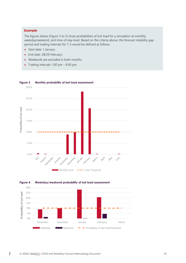#### **Example**

The figures below [\(Figure 3](#page-28-0) to 5) show probabilities of lost load for a simulation at monthly, weekday/weekend, and time-of-day level. Based on the criteria above, the forecast reliability gap period and trading intervals for T-3 would be defined as follows:

- Start date: 1 January.
- End date: 28/29 February.
- Weekends are excluded in both months.
- Trading intervals: 1.00 pm 8.00 pm.



#### <span id="page-28-0"></span>**Figure 3 Monthly probability of lost load assessment**

<span id="page-28-1"></span>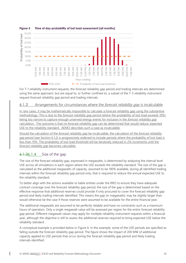

#### <span id="page-29-0"></span>**Figure 5 Time of day probability of lost load assessment (all months)**

For T-1 reliability instrument requests, the forecast reliability gap period and trading intervals are determined using the same approach, but are equal to, or further confined to, a subset of the T-3 reliability instrument request forecast reliability gap period and trading intervals.

#### 6.1.3 Arrangements for circumstances where the *forecast reliability gap* is incalculable

In rare cases, it may be mathematically impossible to calculate a forecast reliability gap using the substantive methodology. This is due to the *forecast reliability gap period* (where the probability of lost load exceeds 10%) being too narrow to capture enough unserved energy events for inclusion in the *forecast reliability gap* calculation. The outcome is that no forecast reliability gap can be determined that would reduce expected USE to the reliability standard. AEMO describes such a case as incalculable.

Should the calculation of the *forecast reliability gap* be incalculable, the calculation of the *forecast reliability gap period* (see Section 6.1.2) is progressively widened to include periods where the probability of lost load is less than 10%. The probability of lost load threshold will be iteratively reduced in 2% increments until the *forecast reliability gap* becomes calculable.

#### 6.1.36.1.4 Size of the gap

The size of the forecast reliability gap, expressed in megawatts, is determined by analysing the interval level USE across all simulations in each region where the USE exceeds the reliability standard. The size of the gap is calculated as the additional megawatts of capacity, assumed to be 100% available, during all identified trading intervals within the forecast reliability gap period only, that is required to reduce the annual expected USE to the reliability standard.

To better align with the actions available to liable entities under the RRO to ensure they have adequate contract coverage over the forecast reliability gap period, the size of the gap is determined based on the effective response that additional reserves could provide if only procured to cover the forecast reliability gap period and likely trading intervals identified. This means the gap (in megawatts) may be slightly larger than would otherwise be the case if those reserves were assumed to be available for the entire financial year.

The additional megawatts are assumed to be perfectly reliable and have no constraints such as a maximum hours of operation. Only a single megawatt value will be assessed per region for the entire forecast reliability gap period. Different megawatt values may apply for multiple reliability instrument requests within a financial year, although the objective is still to assess the additional reserves required to bring expected USE below the reliability standard.

A conceptual example is provided below in [Figure 6.](#page-30-0) In this example, some of the USE periods are specified as falling outside the forecast reliability gap period. The figure shows the impact of 200 MW of additional capacity applied to USE periods that occur during the forecast reliability gap period and likely trading intervals identified.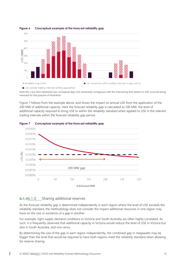

#### <span id="page-30-0"></span>**Figure 6 Conceptual example of the forecast reliability gap**

Note the x axis here represents two conceptual days (not necessarily contiguous) with the intervening time where no USE occurred being removed for the purpose of illustration.

[Figure 7](#page-30-1) follows from the example above, and shows the impact on annual USE from the application of the 200 MW of additional capacity. Here the forecast reliability gap is calculated as 200 MW, the level of additional capacity required to bring USE to within the reliability standard when applied to USE in the relevant trading intervals within the forecast reliability gap period.



#### <span id="page-30-1"></span>**Figure 7 Conceptual example of the forecast reliability gap**

#### 6.1.46.1.5 Sharing additional reserves

As the forecast reliability gap is determined independently in each region where the level of USE exceeds the reliability standard, the methodology does not consider the impact additional resources in one region may have on the size or existence of a gap in another.

For example, tight supply-demand conditions in Victoria and South Australia are often highly correlated. As such, it is frequently observed that additional capacity in Victoria would reduce the level of USE in Victoria but also in South Australia, and vice versa.

By determining the size of the gap in each region independently, the combined gap in megawatts may be bigger than the level that would be required to have both regions meet the reliability standard when allowing for reserve sharing.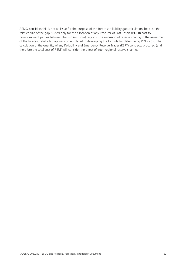AEMO considers this is not an issue for the purpose of the forecast reliability gap calculation, because the relative size of the gap is used only for the allocation of any Procurer of Last Resort (**POLR**) cost to non-compliant parties between the two (or more) regions. The exclusion of reserve sharing in the assessment of the forecast reliability gap was contemplated in developing the formula for determining POLR cost. The calculation of the quantity of any Reliability and Emergency Reserve Trader (RERT) contracts procured (and therefore the total cost of RERT) will consider the effect of inter-regional reserve sharing.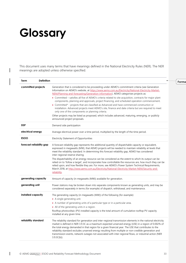## <span id="page-32-0"></span>**Glossary**

This document uses many terms that have meanings defined in the National Electricity Rules (NER). The NER meanings are adopted unless otherwise specified.

| Term                     | <b>Definition</b> |                                                                                                                                                                                                                                                                                                                                                                                                                                                                                                                                                                                                                                                                                                                                                                                                    |  |
|--------------------------|-------------------|----------------------------------------------------------------------------------------------------------------------------------------------------------------------------------------------------------------------------------------------------------------------------------------------------------------------------------------------------------------------------------------------------------------------------------------------------------------------------------------------------------------------------------------------------------------------------------------------------------------------------------------------------------------------------------------------------------------------------------------------------------------------------------------------------|--|
| committed projects       |                   | Generation that is considered to be proceeding under AEMO's commitment criteria (see Generation<br>Information on AEMO's website, at https://www.aemo.com.au/Electricity/National-Electricity-Market-<br>NEM/Planning-and-forecasting/Generation-information). AEMO categorises projects as:                                                                                                                                                                                                                                                                                                                                                                                                                                                                                                       |  |
|                          |                   | • Committed – satisfies all five of AEMO's criteria related to site acquisition, contracts for major plant<br>components, planning and approvals, project financing, and scheduled operation commencement.                                                                                                                                                                                                                                                                                                                                                                                                                                                                                                                                                                                         |  |
|                          |                   | • Committed* - projects that are classified as Advanced and have commenced construction or<br>installation. Advanced projects meet AEMO's site, finance and date criteria but are required to meet<br>only one of the components or planning criteria.                                                                                                                                                                                                                                                                                                                                                                                                                                                                                                                                             |  |
|                          |                   | Other projects may be listed as proposed, which includes advanced, maturing, emerging, or publicly<br>announced project proposals.                                                                                                                                                                                                                                                                                                                                                                                                                                                                                                                                                                                                                                                                 |  |
| <b>DSP</b>               |                   | Demand side participation                                                                                                                                                                                                                                                                                                                                                                                                                                                                                                                                                                                                                                                                                                                                                                          |  |
| electrical energy        |                   | Average electrical power over a time period, multiplied by the length of the time period.                                                                                                                                                                                                                                                                                                                                                                                                                                                                                                                                                                                                                                                                                                          |  |
| ESOO                     |                   | Electricity Statement of Opportunities                                                                                                                                                                                                                                                                                                                                                                                                                                                                                                                                                                                                                                                                                                                                                             |  |
| forecast reliability gap |                   | A forecast reliability gap represents the additional quantity of dispatchable capacity or equivalent,<br>expressed in megawatts (MW), that AEMO projects will be needed to maintain reliability at levels that<br>meet the reliability standard. In determining this forecast reliability gap, AEMO has considered<br>inter-regional reserve sharing.<br>The dispatchability of an energy resource can be considered as the extent to which its output can be<br>relied on to 'follow a target', and incorporates how controllable the resources are, how much they can be<br>relied upon, and how flexible they are. For more, see AEMO's Power System Technical Requirements,<br>March 2018, at http://www.aemo.com.au/Electricity/National-Electricity-Market-NEM/Security-and-<br>reliability. |  |
| generating capacity      |                   | Amount of capacity (in megawatts (MW)) available for generation.                                                                                                                                                                                                                                                                                                                                                                                                                                                                                                                                                                                                                                                                                                                                   |  |
| generating unit          |                   | Power stations may be broken down into separate components known as generating units, and may be<br>considered separately in terms (for example) of dispatch, withdrawal, and maintenance.                                                                                                                                                                                                                                                                                                                                                                                                                                                                                                                                                                                                         |  |
| installed capacity       |                   | The generating capacity (in megawatts (MW)) of the following (for example):<br>• A single generating unit.<br>• A number of generating units of a particular type or in a particular area.<br>• All of the generating units in a region.<br>Rooftop photovoltaic (PV) installed capacity is the total amount of cumulative rooftop PV capacity<br>installed at any given time.                                                                                                                                                                                                                                                                                                                                                                                                                     |  |
| reliability standard     |                   | The reliability standard for generation and inter-regional transmission elements in the national electricity<br>market is defined in NER 3.9.3C as a maximum expected unserved energy (USE) in a region of 0.002% of<br>the total energy demanded in that region for a given financial year. The USE that contributes to the<br>reliability standard excludes unserved energy resulting from multiple or non-credible generation and<br>transmission events, network outages not associated with inter regional flows, or industrial action (NER<br>$3.9.3C(b)$ ).                                                                                                                                                                                                                                 |  |
|                          |                   |                                                                                                                                                                                                                                                                                                                                                                                                                                                                                                                                                                                                                                                                                                                                                                                                    |  |